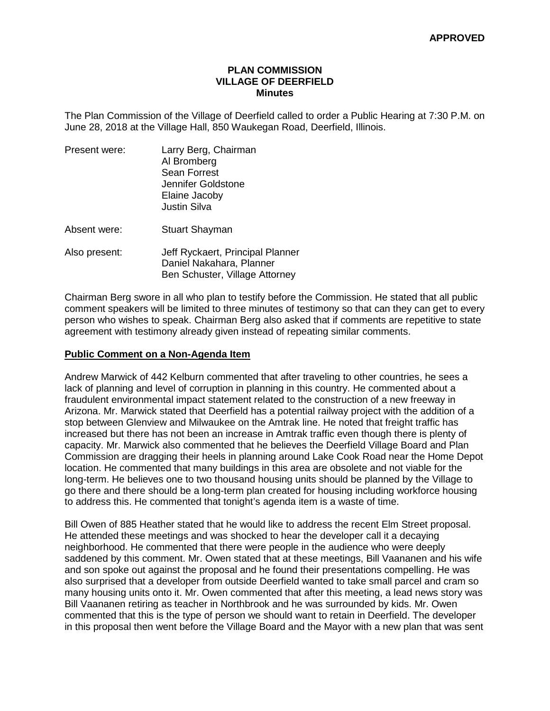### **PLAN COMMISSION VILLAGE OF DEERFIELD Minutes**

The Plan Commission of the Village of Deerfield called to order a Public Hearing at 7:30 P.M. on June 28, 2018 at the Village Hall, 850 Waukegan Road, Deerfield, Illinois.

| Present were: | Larry Berg, Chairman<br>Al Bromberg<br><b>Sean Forrest</b><br>Jennifer Goldstone<br>Elaine Jacoby<br><b>Justin Silva</b> |
|---------------|--------------------------------------------------------------------------------------------------------------------------|
| Absent were:  | <b>Stuart Shayman</b>                                                                                                    |
| Also present: | Jeff Ryckaert, Principal Planner<br>Daniel Nakahara, Planner<br>Ben Schuster, Village Attorney                           |

Chairman Berg swore in all who plan to testify before the Commission. He stated that all public comment speakers will be limited to three minutes of testimony so that can they can get to every person who wishes to speak. Chairman Berg also asked that if comments are repetitive to state agreement with testimony already given instead of repeating similar comments.

### **Public Comment on a Non-Agenda Item**

Andrew Marwick of 442 Kelburn commented that after traveling to other countries, he sees a lack of planning and level of corruption in planning in this country. He commented about a fraudulent environmental impact statement related to the construction of a new freeway in Arizona. Mr. Marwick stated that Deerfield has a potential railway project with the addition of a stop between Glenview and Milwaukee on the Amtrak line. He noted that freight traffic has increased but there has not been an increase in Amtrak traffic even though there is plenty of capacity. Mr. Marwick also commented that he believes the Deerfield Village Board and Plan Commission are dragging their heels in planning around Lake Cook Road near the Home Depot location. He commented that many buildings in this area are obsolete and not viable for the long-term. He believes one to two thousand housing units should be planned by the Village to go there and there should be a long-term plan created for housing including workforce housing to address this. He commented that tonight's agenda item is a waste of time.

Bill Owen of 885 Heather stated that he would like to address the recent Elm Street proposal. He attended these meetings and was shocked to hear the developer call it a decaying neighborhood. He commented that there were people in the audience who were deeply saddened by this comment. Mr. Owen stated that at these meetings, Bill Vaananen and his wife and son spoke out against the proposal and he found their presentations compelling. He was also surprised that a developer from outside Deerfield wanted to take small parcel and cram so many housing units onto it. Mr. Owen commented that after this meeting, a lead news story was Bill Vaananen retiring as teacher in Northbrook and he was surrounded by kids. Mr. Owen commented that this is the type of person we should want to retain in Deerfield. The developer in this proposal then went before the Village Board and the Mayor with a new plan that was sent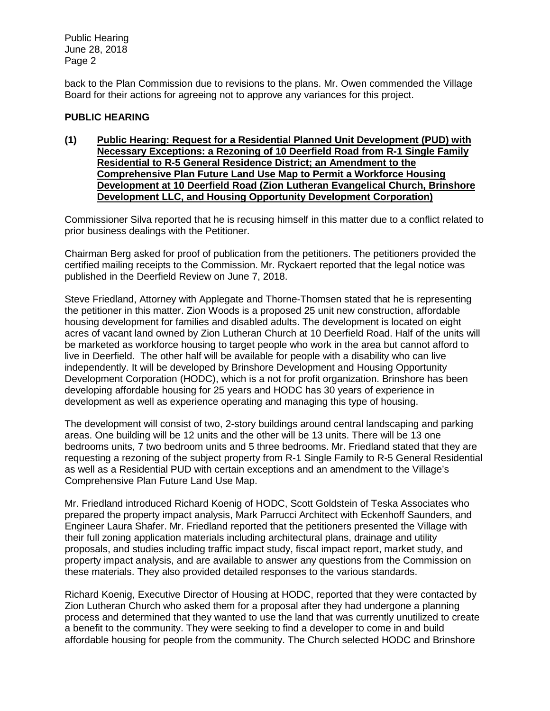back to the Plan Commission due to revisions to the plans. Mr. Owen commended the Village Board for their actions for agreeing not to approve any variances for this project.

# **PUBLIC HEARING**

**(1) Public Hearing: Request for a Residential Planned Unit Development (PUD) with Necessary Exceptions: a Rezoning of 10 Deerfield Road from R-1 Single Family Residential to R-5 General Residence District; an Amendment to the Comprehensive Plan Future Land Use Map to Permit a Workforce Housing Development at 10 Deerfield Road (Zion Lutheran Evangelical Church, Brinshore Development LLC, and Housing Opportunity Development Corporation)**

Commissioner Silva reported that he is recusing himself in this matter due to a conflict related to prior business dealings with the Petitioner.

Chairman Berg asked for proof of publication from the petitioners. The petitioners provided the certified mailing receipts to the Commission. Mr. Ryckaert reported that the legal notice was published in the Deerfield Review on June 7, 2018.

Steve Friedland, Attorney with Applegate and Thorne-Thomsen stated that he is representing the petitioner in this matter. Zion Woods is a proposed 25 unit new construction, affordable housing development for families and disabled adults. The development is located on eight acres of vacant land owned by Zion Lutheran Church at 10 Deerfield Road. Half of the units will be marketed as workforce housing to target people who work in the area but cannot afford to live in Deerfield. The other half will be available for people with a disability who can live independently. It will be developed by Brinshore Development and Housing Opportunity Development Corporation (HODC), which is a not for profit organization. Brinshore has been developing affordable housing for 25 years and HODC has 30 years of experience in development as well as experience operating and managing this type of housing.

The development will consist of two, 2-story buildings around central landscaping and parking areas. One building will be 12 units and the other will be 13 units. There will be 13 one bedrooms units, 7 two bedroom units and 5 three bedrooms. Mr. Friedland stated that they are requesting a rezoning of the subject property from R-1 Single Family to R-5 General Residential as well as a Residential PUD with certain exceptions and an amendment to the Village's Comprehensive Plan Future Land Use Map.

Mr. Friedland introduced Richard Koenig of HODC, Scott Goldstein of Teska Associates who prepared the property impact analysis, Mark Parrucci Architect with Eckenhoff Saunders, and Engineer Laura Shafer. Mr. Friedland reported that the petitioners presented the Village with their full zoning application materials including architectural plans, drainage and utility proposals, and studies including traffic impact study, fiscal impact report, market study, and property impact analysis, and are available to answer any questions from the Commission on these materials. They also provided detailed responses to the various standards.

Richard Koenig, Executive Director of Housing at HODC, reported that they were contacted by Zion Lutheran Church who asked them for a proposal after they had undergone a planning process and determined that they wanted to use the land that was currently unutilized to create a benefit to the community. They were seeking to find a developer to come in and build affordable housing for people from the community. The Church selected HODC and Brinshore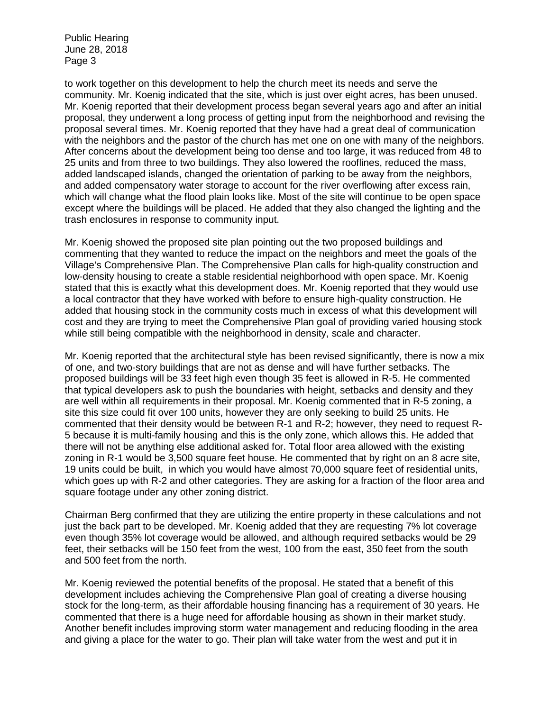to work together on this development to help the church meet its needs and serve the community. Mr. Koenig indicated that the site, which is just over eight acres, has been unused. Mr. Koenig reported that their development process began several years ago and after an initial proposal, they underwent a long process of getting input from the neighborhood and revising the proposal several times. Mr. Koenig reported that they have had a great deal of communication with the neighbors and the pastor of the church has met one on one with many of the neighbors. After concerns about the development being too dense and too large, it was reduced from 48 to 25 units and from three to two buildings. They also lowered the rooflines, reduced the mass, added landscaped islands, changed the orientation of parking to be away from the neighbors, and added compensatory water storage to account for the river overflowing after excess rain, which will change what the flood plain looks like. Most of the site will continue to be open space except where the buildings will be placed. He added that they also changed the lighting and the trash enclosures in response to community input.

Mr. Koenig showed the proposed site plan pointing out the two proposed buildings and commenting that they wanted to reduce the impact on the neighbors and meet the goals of the Village's Comprehensive Plan. The Comprehensive Plan calls for high-quality construction and low-density housing to create a stable residential neighborhood with open space. Mr. Koenig stated that this is exactly what this development does. Mr. Koenig reported that they would use a local contractor that they have worked with before to ensure high-quality construction. He added that housing stock in the community costs much in excess of what this development will cost and they are trying to meet the Comprehensive Plan goal of providing varied housing stock while still being compatible with the neighborhood in density, scale and character.

Mr. Koenig reported that the architectural style has been revised significantly, there is now a mix of one, and two-story buildings that are not as dense and will have further setbacks. The proposed buildings will be 33 feet high even though 35 feet is allowed in R-5. He commented that typical developers ask to push the boundaries with height, setbacks and density and they are well within all requirements in their proposal. Mr. Koenig commented that in R-5 zoning, a site this size could fit over 100 units, however they are only seeking to build 25 units. He commented that their density would be between R-1 and R-2; however, they need to request R-5 because it is multi-family housing and this is the only zone, which allows this. He added that there will not be anything else additional asked for. Total floor area allowed with the existing zoning in R-1 would be 3,500 square feet house. He commented that by right on an 8 acre site, 19 units could be built, in which you would have almost 70,000 square feet of residential units, which goes up with R-2 and other categories. They are asking for a fraction of the floor area and square footage under any other zoning district.

Chairman Berg confirmed that they are utilizing the entire property in these calculations and not just the back part to be developed. Mr. Koenig added that they are requesting 7% lot coverage even though 35% lot coverage would be allowed, and although required setbacks would be 29 feet, their setbacks will be 150 feet from the west, 100 from the east, 350 feet from the south and 500 feet from the north.

Mr. Koenig reviewed the potential benefits of the proposal. He stated that a benefit of this development includes achieving the Comprehensive Plan goal of creating a diverse housing stock for the long-term, as their affordable housing financing has a requirement of 30 years. He commented that there is a huge need for affordable housing as shown in their market study. Another benefit includes improving storm water management and reducing flooding in the area and giving a place for the water to go. Their plan will take water from the west and put it in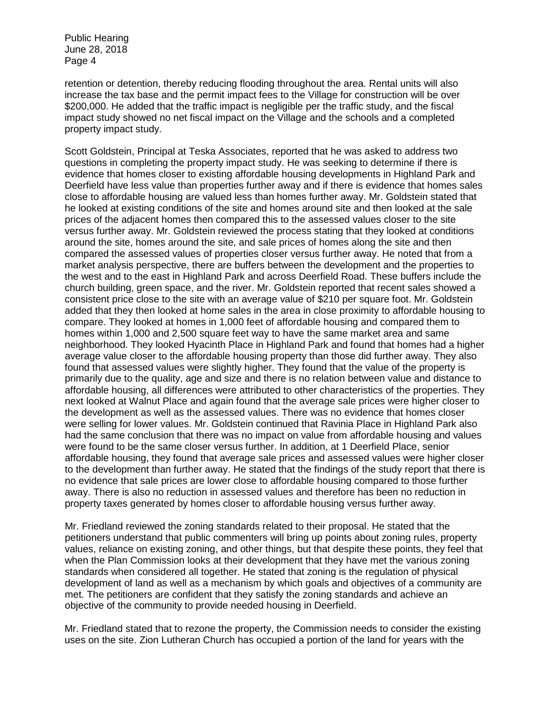retention or detention, thereby reducing flooding throughout the area. Rental units will also increase the tax base and the permit impact fees to the Village for construction will be over \$200,000. He added that the traffic impact is negligible per the traffic study, and the fiscal impact study showed no net fiscal impact on the Village and the schools and a completed property impact study.

Scott Goldstein, Principal at Teska Associates, reported that he was asked to address two questions in completing the property impact study. He was seeking to determine if there is evidence that homes closer to existing affordable housing developments in Highland Park and Deerfield have less value than properties further away and if there is evidence that homes sales close to affordable housing are valued less than homes further away. Mr. Goldstein stated that he looked at existing conditions of the site and homes around site and then looked at the sale prices of the adjacent homes then compared this to the assessed values closer to the site versus further away. Mr. Goldstein reviewed the process stating that they looked at conditions around the site, homes around the site, and sale prices of homes along the site and then compared the assessed values of properties closer versus further away. He noted that from a market analysis perspective, there are buffers between the development and the properties to the west and to the east in Highland Park and across Deerfield Road. These buffers include the church building, green space, and the river. Mr. Goldstein reported that recent sales showed a consistent price close to the site with an average value of \$210 per square foot. Mr. Goldstein added that they then looked at home sales in the area in close proximity to affordable housing to compare. They looked at homes in 1,000 feet of affordable housing and compared them to homes within 1,000 and 2,500 square feet way to have the same market area and same neighborhood. They looked Hyacinth Place in Highland Park and found that homes had a higher average value closer to the affordable housing property than those did further away. They also found that assessed values were slightly higher. They found that the value of the property is primarily due to the quality, age and size and there is no relation between value and distance to affordable housing, all differences were attributed to other characteristics of the properties. They next looked at Walnut Place and again found that the average sale prices were higher closer to the development as well as the assessed values. There was no evidence that homes closer were selling for lower values. Mr. Goldstein continued that Ravinia Place in Highland Park also had the same conclusion that there was no impact on value from affordable housing and values were found to be the same closer versus further. In addition, at 1 Deerfield Place, senior affordable housing, they found that average sale prices and assessed values were higher closer to the development than further away. He stated that the findings of the study report that there is no evidence that sale prices are lower close to affordable housing compared to those further away. There is also no reduction in assessed values and therefore has been no reduction in property taxes generated by homes closer to affordable housing versus further away.

Mr. Friedland reviewed the zoning standards related to their proposal. He stated that the petitioners understand that public commenters will bring up points about zoning rules, property values, reliance on existing zoning, and other things, but that despite these points, they feel that when the Plan Commission looks at their development that they have met the various zoning standards when considered all together. He stated that zoning is the regulation of physical development of land as well as a mechanism by which goals and objectives of a community are met. The petitioners are confident that they satisfy the zoning standards and achieve an objective of the community to provide needed housing in Deerfield.

Mr. Friedland stated that to rezone the property, the Commission needs to consider the existing uses on the site. Zion Lutheran Church has occupied a portion of the land for years with the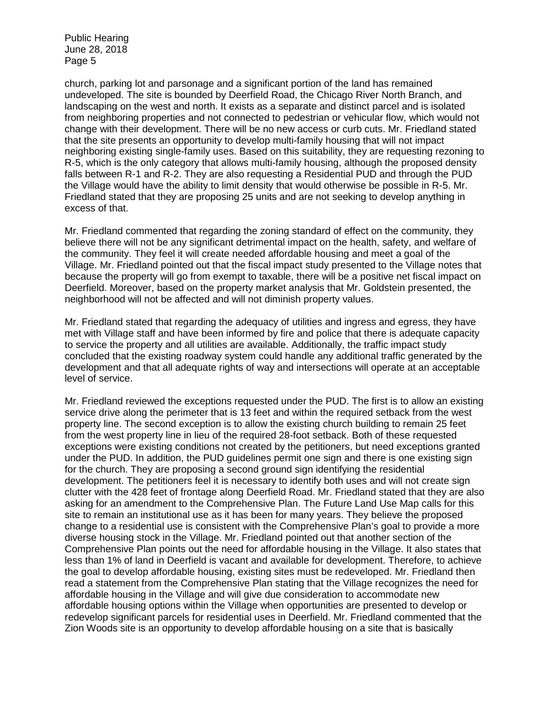church, parking lot and parsonage and a significant portion of the land has remained undeveloped. The site is bounded by Deerfield Road, the Chicago River North Branch, and landscaping on the west and north. It exists as a separate and distinct parcel and is isolated from neighboring properties and not connected to pedestrian or vehicular flow, which would not change with their development. There will be no new access or curb cuts. Mr. Friedland stated that the site presents an opportunity to develop multi-family housing that will not impact neighboring existing single-family uses. Based on this suitability, they are requesting rezoning to R-5, which is the only category that allows multi-family housing, although the proposed density falls between R-1 and R-2. They are also requesting a Residential PUD and through the PUD the Village would have the ability to limit density that would otherwise be possible in R-5. Mr. Friedland stated that they are proposing 25 units and are not seeking to develop anything in excess of that.

Mr. Friedland commented that regarding the zoning standard of effect on the community, they believe there will not be any significant detrimental impact on the health, safety, and welfare of the community. They feel it will create needed affordable housing and meet a goal of the Village. Mr. Friedland pointed out that the fiscal impact study presented to the Village notes that because the property will go from exempt to taxable, there will be a positive net fiscal impact on Deerfield. Moreover, based on the property market analysis that Mr. Goldstein presented, the neighborhood will not be affected and will not diminish property values.

Mr. Friedland stated that regarding the adequacy of utilities and ingress and egress, they have met with Village staff and have been informed by fire and police that there is adequate capacity to service the property and all utilities are available. Additionally, the traffic impact study concluded that the existing roadway system could handle any additional traffic generated by the development and that all adequate rights of way and intersections will operate at an acceptable level of service.

Mr. Friedland reviewed the exceptions requested under the PUD. The first is to allow an existing service drive along the perimeter that is 13 feet and within the required setback from the west property line. The second exception is to allow the existing church building to remain 25 feet from the west property line in lieu of the required 28-foot setback. Both of these requested exceptions were existing conditions not created by the petitioners, but need exceptions granted under the PUD. In addition, the PUD guidelines permit one sign and there is one existing sign for the church. They are proposing a second ground sign identifying the residential development. The petitioners feel it is necessary to identify both uses and will not create sign clutter with the 428 feet of frontage along Deerfield Road. Mr. Friedland stated that they are also asking for an amendment to the Comprehensive Plan. The Future Land Use Map calls for this site to remain an institutional use as it has been for many years. They believe the proposed change to a residential use is consistent with the Comprehensive Plan's goal to provide a more diverse housing stock in the Village. Mr. Friedland pointed out that another section of the Comprehensive Plan points out the need for affordable housing in the Village. It also states that less than 1% of land in Deerfield is vacant and available for development. Therefore, to achieve the goal to develop affordable housing, existing sites must be redeveloped. Mr. Friedland then read a statement from the Comprehensive Plan stating that the Village recognizes the need for affordable housing in the Village and will give due consideration to accommodate new affordable housing options within the Village when opportunities are presented to develop or redevelop significant parcels for residential uses in Deerfield. Mr. Friedland commented that the Zion Woods site is an opportunity to develop affordable housing on a site that is basically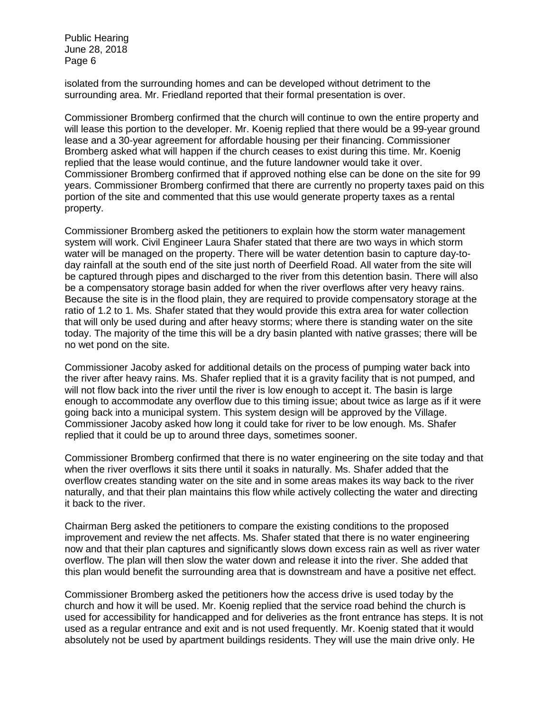isolated from the surrounding homes and can be developed without detriment to the surrounding area. Mr. Friedland reported that their formal presentation is over.

Commissioner Bromberg confirmed that the church will continue to own the entire property and will lease this portion to the developer. Mr. Koenig replied that there would be a 99-year ground lease and a 30-year agreement for affordable housing per their financing. Commissioner Bromberg asked what will happen if the church ceases to exist during this time. Mr. Koenig replied that the lease would continue, and the future landowner would take it over. Commissioner Bromberg confirmed that if approved nothing else can be done on the site for 99 years. Commissioner Bromberg confirmed that there are currently no property taxes paid on this portion of the site and commented that this use would generate property taxes as a rental property.

Commissioner Bromberg asked the petitioners to explain how the storm water management system will work. Civil Engineer Laura Shafer stated that there are two ways in which storm water will be managed on the property. There will be water detention basin to capture day-today rainfall at the south end of the site just north of Deerfield Road. All water from the site will be captured through pipes and discharged to the river from this detention basin. There will also be a compensatory storage basin added for when the river overflows after very heavy rains. Because the site is in the flood plain, they are required to provide compensatory storage at the ratio of 1.2 to 1. Ms. Shafer stated that they would provide this extra area for water collection that will only be used during and after heavy storms; where there is standing water on the site today. The majority of the time this will be a dry basin planted with native grasses; there will be no wet pond on the site.

Commissioner Jacoby asked for additional details on the process of pumping water back into the river after heavy rains. Ms. Shafer replied that it is a gravity facility that is not pumped, and will not flow back into the river until the river is low enough to accept it. The basin is large enough to accommodate any overflow due to this timing issue; about twice as large as if it were going back into a municipal system. This system design will be approved by the Village. Commissioner Jacoby asked how long it could take for river to be low enough. Ms. Shafer replied that it could be up to around three days, sometimes sooner.

Commissioner Bromberg confirmed that there is no water engineering on the site today and that when the river overflows it sits there until it soaks in naturally. Ms. Shafer added that the overflow creates standing water on the site and in some areas makes its way back to the river naturally, and that their plan maintains this flow while actively collecting the water and directing it back to the river.

Chairman Berg asked the petitioners to compare the existing conditions to the proposed improvement and review the net affects. Ms. Shafer stated that there is no water engineering now and that their plan captures and significantly slows down excess rain as well as river water overflow. The plan will then slow the water down and release it into the river. She added that this plan would benefit the surrounding area that is downstream and have a positive net effect.

Commissioner Bromberg asked the petitioners how the access drive is used today by the church and how it will be used. Mr. Koenig replied that the service road behind the church is used for accessibility for handicapped and for deliveries as the front entrance has steps. It is not used as a regular entrance and exit and is not used frequently. Mr. Koenig stated that it would absolutely not be used by apartment buildings residents. They will use the main drive only. He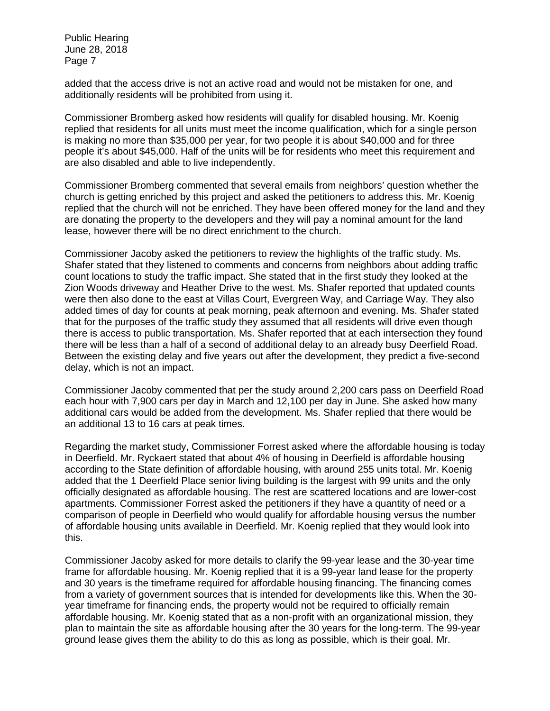added that the access drive is not an active road and would not be mistaken for one, and additionally residents will be prohibited from using it.

Commissioner Bromberg asked how residents will qualify for disabled housing. Mr. Koenig replied that residents for all units must meet the income qualification, which for a single person is making no more than \$35,000 per year, for two people it is about \$40,000 and for three people it's about \$45,000. Half of the units will be for residents who meet this requirement and are also disabled and able to live independently.

Commissioner Bromberg commented that several emails from neighbors' question whether the church is getting enriched by this project and asked the petitioners to address this. Mr. Koenig replied that the church will not be enriched. They have been offered money for the land and they are donating the property to the developers and they will pay a nominal amount for the land lease, however there will be no direct enrichment to the church.

Commissioner Jacoby asked the petitioners to review the highlights of the traffic study. Ms. Shafer stated that they listened to comments and concerns from neighbors about adding traffic count locations to study the traffic impact. She stated that in the first study they looked at the Zion Woods driveway and Heather Drive to the west. Ms. Shafer reported that updated counts were then also done to the east at Villas Court, Evergreen Way, and Carriage Way. They also added times of day for counts at peak morning, peak afternoon and evening. Ms. Shafer stated that for the purposes of the traffic study they assumed that all residents will drive even though there is access to public transportation. Ms. Shafer reported that at each intersection they found there will be less than a half of a second of additional delay to an already busy Deerfield Road. Between the existing delay and five years out after the development, they predict a five-second delay, which is not an impact.

Commissioner Jacoby commented that per the study around 2,200 cars pass on Deerfield Road each hour with 7,900 cars per day in March and 12,100 per day in June. She asked how many additional cars would be added from the development. Ms. Shafer replied that there would be an additional 13 to 16 cars at peak times.

Regarding the market study, Commissioner Forrest asked where the affordable housing is today in Deerfield. Mr. Ryckaert stated that about 4% of housing in Deerfield is affordable housing according to the State definition of affordable housing, with around 255 units total. Mr. Koenig added that the 1 Deerfield Place senior living building is the largest with 99 units and the only officially designated as affordable housing. The rest are scattered locations and are lower-cost apartments. Commissioner Forrest asked the petitioners if they have a quantity of need or a comparison of people in Deerfield who would qualify for affordable housing versus the number of affordable housing units available in Deerfield. Mr. Koenig replied that they would look into this.

Commissioner Jacoby asked for more details to clarify the 99-year lease and the 30-year time frame for affordable housing. Mr. Koenig replied that it is a 99-year land lease for the property and 30 years is the timeframe required for affordable housing financing. The financing comes from a variety of government sources that is intended for developments like this. When the 30 year timeframe for financing ends, the property would not be required to officially remain affordable housing. Mr. Koenig stated that as a non-profit with an organizational mission, they plan to maintain the site as affordable housing after the 30 years for the long-term. The 99-year ground lease gives them the ability to do this as long as possible, which is their goal. Mr.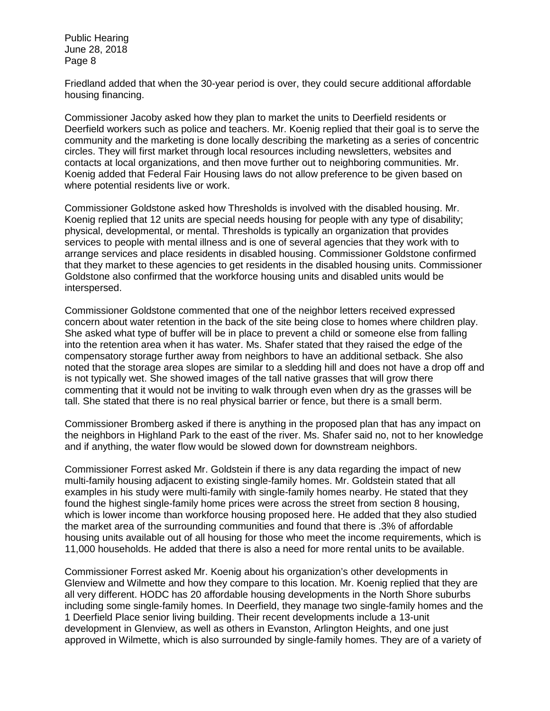Friedland added that when the 30-year period is over, they could secure additional affordable housing financing.

Commissioner Jacoby asked how they plan to market the units to Deerfield residents or Deerfield workers such as police and teachers. Mr. Koenig replied that their goal is to serve the community and the marketing is done locally describing the marketing as a series of concentric circles. They will first market through local resources including newsletters, websites and contacts at local organizations, and then move further out to neighboring communities. Mr. Koenig added that Federal Fair Housing laws do not allow preference to be given based on where potential residents live or work.

Commissioner Goldstone asked how Thresholds is involved with the disabled housing. Mr. Koenig replied that 12 units are special needs housing for people with any type of disability; physical, developmental, or mental. Thresholds is typically an organization that provides services to people with mental illness and is one of several agencies that they work with to arrange services and place residents in disabled housing. Commissioner Goldstone confirmed that they market to these agencies to get residents in the disabled housing units. Commissioner Goldstone also confirmed that the workforce housing units and disabled units would be interspersed.

Commissioner Goldstone commented that one of the neighbor letters received expressed concern about water retention in the back of the site being close to homes where children play. She asked what type of buffer will be in place to prevent a child or someone else from falling into the retention area when it has water. Ms. Shafer stated that they raised the edge of the compensatory storage further away from neighbors to have an additional setback. She also noted that the storage area slopes are similar to a sledding hill and does not have a drop off and is not typically wet. She showed images of the tall native grasses that will grow there commenting that it would not be inviting to walk through even when dry as the grasses will be tall. She stated that there is no real physical barrier or fence, but there is a small berm.

Commissioner Bromberg asked if there is anything in the proposed plan that has any impact on the neighbors in Highland Park to the east of the river. Ms. Shafer said no, not to her knowledge and if anything, the water flow would be slowed down for downstream neighbors.

Commissioner Forrest asked Mr. Goldstein if there is any data regarding the impact of new multi-family housing adjacent to existing single-family homes. Mr. Goldstein stated that all examples in his study were multi-family with single-family homes nearby. He stated that they found the highest single-family home prices were across the street from section 8 housing, which is lower income than workforce housing proposed here. He added that they also studied the market area of the surrounding communities and found that there is .3% of affordable housing units available out of all housing for those who meet the income requirements, which is 11,000 households. He added that there is also a need for more rental units to be available.

Commissioner Forrest asked Mr. Koenig about his organization's other developments in Glenview and Wilmette and how they compare to this location. Mr. Koenig replied that they are all very different. HODC has 20 affordable housing developments in the North Shore suburbs including some single-family homes. In Deerfield, they manage two single-family homes and the 1 Deerfield Place senior living building. Their recent developments include a 13-unit development in Glenview, as well as others in Evanston, Arlington Heights, and one just approved in Wilmette, which is also surrounded by single-family homes. They are of a variety of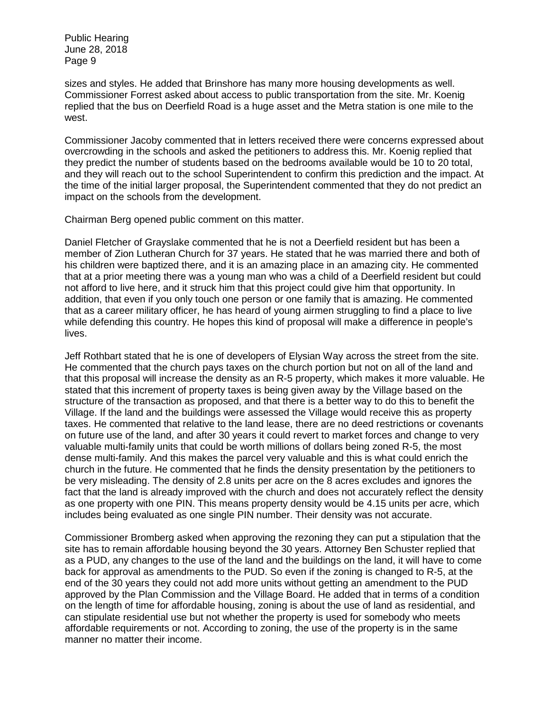sizes and styles. He added that Brinshore has many more housing developments as well. Commissioner Forrest asked about access to public transportation from the site. Mr. Koenig replied that the bus on Deerfield Road is a huge asset and the Metra station is one mile to the west.

Commissioner Jacoby commented that in letters received there were concerns expressed about overcrowding in the schools and asked the petitioners to address this. Mr. Koenig replied that they predict the number of students based on the bedrooms available would be 10 to 20 total, and they will reach out to the school Superintendent to confirm this prediction and the impact. At the time of the initial larger proposal, the Superintendent commented that they do not predict an impact on the schools from the development.

Chairman Berg opened public comment on this matter.

Daniel Fletcher of Grayslake commented that he is not a Deerfield resident but has been a member of Zion Lutheran Church for 37 years. He stated that he was married there and both of his children were baptized there, and it is an amazing place in an amazing city. He commented that at a prior meeting there was a young man who was a child of a Deerfield resident but could not afford to live here, and it struck him that this project could give him that opportunity. In addition, that even if you only touch one person or one family that is amazing. He commented that as a career military officer, he has heard of young airmen struggling to find a place to live while defending this country. He hopes this kind of proposal will make a difference in people's lives.

Jeff Rothbart stated that he is one of developers of Elysian Way across the street from the site. He commented that the church pays taxes on the church portion but not on all of the land and that this proposal will increase the density as an R-5 property, which makes it more valuable. He stated that this increment of property taxes is being given away by the Village based on the structure of the transaction as proposed, and that there is a better way to do this to benefit the Village. If the land and the buildings were assessed the Village would receive this as property taxes. He commented that relative to the land lease, there are no deed restrictions or covenants on future use of the land, and after 30 years it could revert to market forces and change to very valuable multi-family units that could be worth millions of dollars being zoned R-5, the most dense multi-family. And this makes the parcel very valuable and this is what could enrich the church in the future. He commented that he finds the density presentation by the petitioners to be very misleading. The density of 2.8 units per acre on the 8 acres excludes and ignores the fact that the land is already improved with the church and does not accurately reflect the density as one property with one PIN. This means property density would be 4.15 units per acre, which includes being evaluated as one single PIN number. Their density was not accurate.

Commissioner Bromberg asked when approving the rezoning they can put a stipulation that the site has to remain affordable housing beyond the 30 years. Attorney Ben Schuster replied that as a PUD, any changes to the use of the land and the buildings on the land, it will have to come back for approval as amendments to the PUD. So even if the zoning is changed to R-5, at the end of the 30 years they could not add more units without getting an amendment to the PUD approved by the Plan Commission and the Village Board. He added that in terms of a condition on the length of time for affordable housing, zoning is about the use of land as residential, and can stipulate residential use but not whether the property is used for somebody who meets affordable requirements or not. According to zoning, the use of the property is in the same manner no matter their income.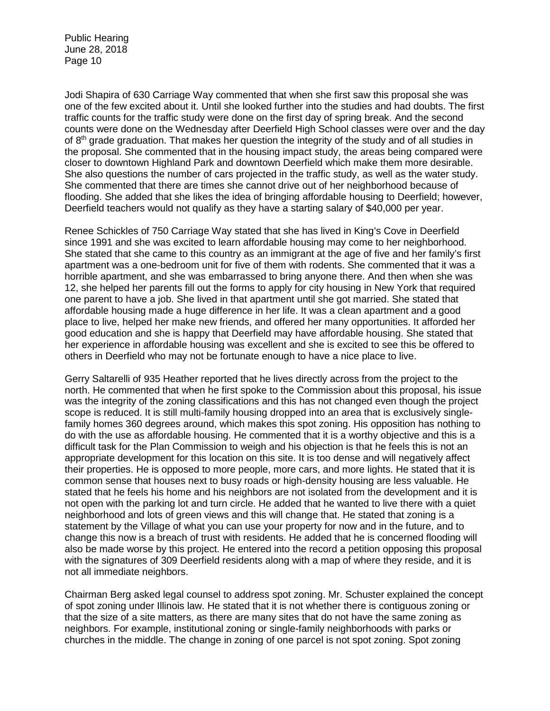Jodi Shapira of 630 Carriage Way commented that when she first saw this proposal she was one of the few excited about it. Until she looked further into the studies and had doubts. The first traffic counts for the traffic study were done on the first day of spring break. And the second counts were done on the Wednesday after Deerfield High School classes were over and the day of 8<sup>th</sup> grade graduation. That makes her question the integrity of the study and of all studies in the proposal. She commented that in the housing impact study, the areas being compared were closer to downtown Highland Park and downtown Deerfield which make them more desirable. She also questions the number of cars projected in the traffic study, as well as the water study. She commented that there are times she cannot drive out of her neighborhood because of flooding. She added that she likes the idea of bringing affordable housing to Deerfield; however, Deerfield teachers would not qualify as they have a starting salary of \$40,000 per year.

Renee Schickles of 750 Carriage Way stated that she has lived in King's Cove in Deerfield since 1991 and she was excited to learn affordable housing may come to her neighborhood. She stated that she came to this country as an immigrant at the age of five and her family's first apartment was a one-bedroom unit for five of them with rodents. She commented that it was a horrible apartment, and she was embarrassed to bring anyone there. And then when she was 12, she helped her parents fill out the forms to apply for city housing in New York that required one parent to have a job. She lived in that apartment until she got married. She stated that affordable housing made a huge difference in her life. It was a clean apartment and a good place to live, helped her make new friends, and offered her many opportunities. It afforded her good education and she is happy that Deerfield may have affordable housing. She stated that her experience in affordable housing was excellent and she is excited to see this be offered to others in Deerfield who may not be fortunate enough to have a nice place to live.

Gerry Saltarelli of 935 Heather reported that he lives directly across from the project to the north. He commented that when he first spoke to the Commission about this proposal, his issue was the integrity of the zoning classifications and this has not changed even though the project scope is reduced. It is still multi-family housing dropped into an area that is exclusively singlefamily homes 360 degrees around, which makes this spot zoning. His opposition has nothing to do with the use as affordable housing. He commented that it is a worthy objective and this is a difficult task for the Plan Commission to weigh and his objection is that he feels this is not an appropriate development for this location on this site. It is too dense and will negatively affect their properties. He is opposed to more people, more cars, and more lights. He stated that it is common sense that houses next to busy roads or high-density housing are less valuable. He stated that he feels his home and his neighbors are not isolated from the development and it is not open with the parking lot and turn circle. He added that he wanted to live there with a quiet neighborhood and lots of green views and this will change that. He stated that zoning is a statement by the Village of what you can use your property for now and in the future, and to change this now is a breach of trust with residents. He added that he is concerned flooding will also be made worse by this project. He entered into the record a petition opposing this proposal with the signatures of 309 Deerfield residents along with a map of where they reside, and it is not all immediate neighbors.

Chairman Berg asked legal counsel to address spot zoning. Mr. Schuster explained the concept of spot zoning under Illinois law. He stated that it is not whether there is contiguous zoning or that the size of a site matters, as there are many sites that do not have the same zoning as neighbors. For example, institutional zoning or single-family neighborhoods with parks or churches in the middle. The change in zoning of one parcel is not spot zoning. Spot zoning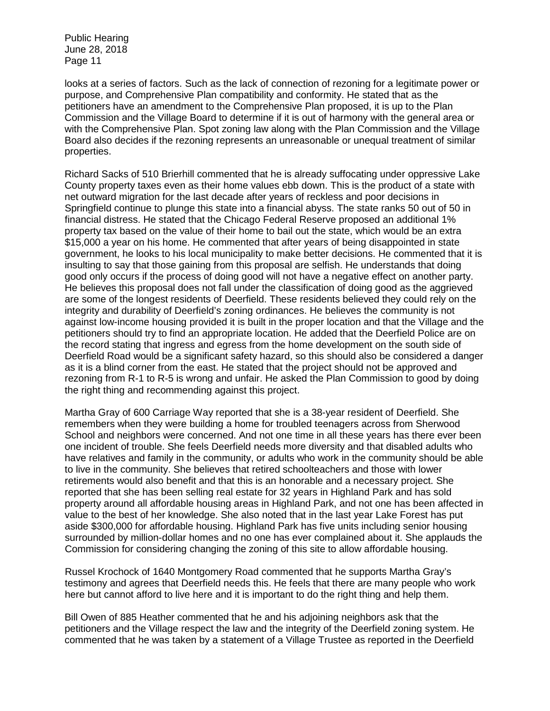looks at a series of factors. Such as the lack of connection of rezoning for a legitimate power or purpose, and Comprehensive Plan compatibility and conformity. He stated that as the petitioners have an amendment to the Comprehensive Plan proposed, it is up to the Plan Commission and the Village Board to determine if it is out of harmony with the general area or with the Comprehensive Plan. Spot zoning law along with the Plan Commission and the Village Board also decides if the rezoning represents an unreasonable or unequal treatment of similar properties.

Richard Sacks of 510 Brierhill commented that he is already suffocating under oppressive Lake County property taxes even as their home values ebb down. This is the product of a state with net outward migration for the last decade after years of reckless and poor decisions in Springfield continue to plunge this state into a financial abyss. The state ranks 50 out of 50 in financial distress. He stated that the Chicago Federal Reserve proposed an additional 1% property tax based on the value of their home to bail out the state, which would be an extra \$15,000 a year on his home. He commented that after years of being disappointed in state government, he looks to his local municipality to make better decisions. He commented that it is insulting to say that those gaining from this proposal are selfish. He understands that doing good only occurs if the process of doing good will not have a negative effect on another party. He believes this proposal does not fall under the classification of doing good as the aggrieved are some of the longest residents of Deerfield. These residents believed they could rely on the integrity and durability of Deerfield's zoning ordinances. He believes the community is not against low-income housing provided it is built in the proper location and that the Village and the petitioners should try to find an appropriate location. He added that the Deerfield Police are on the record stating that ingress and egress from the home development on the south side of Deerfield Road would be a significant safety hazard, so this should also be considered a danger as it is a blind corner from the east. He stated that the project should not be approved and rezoning from R-1 to R-5 is wrong and unfair. He asked the Plan Commission to good by doing the right thing and recommending against this project.

Martha Gray of 600 Carriage Way reported that she is a 38-year resident of Deerfield. She remembers when they were building a home for troubled teenagers across from Sherwood School and neighbors were concerned. And not one time in all these years has there ever been one incident of trouble. She feels Deerfield needs more diversity and that disabled adults who have relatives and family in the community, or adults who work in the community should be able to live in the community. She believes that retired schoolteachers and those with lower retirements would also benefit and that this is an honorable and a necessary project. She reported that she has been selling real estate for 32 years in Highland Park and has sold property around all affordable housing areas in Highland Park, and not one has been affected in value to the best of her knowledge. She also noted that in the last year Lake Forest has put aside \$300,000 for affordable housing. Highland Park has five units including senior housing surrounded by million-dollar homes and no one has ever complained about it. She applauds the Commission for considering changing the zoning of this site to allow affordable housing.

Russel Krochock of 1640 Montgomery Road commented that he supports Martha Gray's testimony and agrees that Deerfield needs this. He feels that there are many people who work here but cannot afford to live here and it is important to do the right thing and help them.

Bill Owen of 885 Heather commented that he and his adjoining neighbors ask that the petitioners and the Village respect the law and the integrity of the Deerfield zoning system. He commented that he was taken by a statement of a Village Trustee as reported in the Deerfield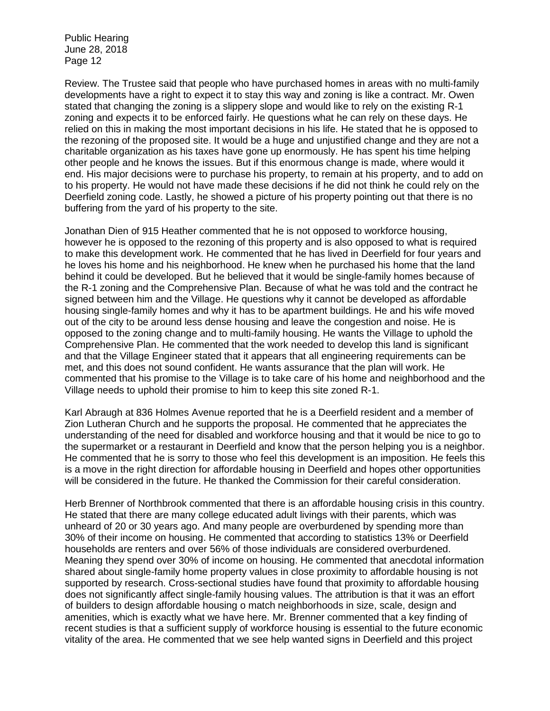Review. The Trustee said that people who have purchased homes in areas with no multi-family developments have a right to expect it to stay this way and zoning is like a contract. Mr. Owen stated that changing the zoning is a slippery slope and would like to rely on the existing R-1 zoning and expects it to be enforced fairly. He questions what he can rely on these days. He relied on this in making the most important decisions in his life. He stated that he is opposed to the rezoning of the proposed site. It would be a huge and unjustified change and they are not a charitable organization as his taxes have gone up enormously. He has spent his time helping other people and he knows the issues. But if this enormous change is made, where would it end. His major decisions were to purchase his property, to remain at his property, and to add on to his property. He would not have made these decisions if he did not think he could rely on the Deerfield zoning code. Lastly, he showed a picture of his property pointing out that there is no buffering from the yard of his property to the site.

Jonathan Dien of 915 Heather commented that he is not opposed to workforce housing, however he is opposed to the rezoning of this property and is also opposed to what is required to make this development work. He commented that he has lived in Deerfield for four years and he loves his home and his neighborhood. He knew when he purchased his home that the land behind it could be developed. But he believed that it would be single-family homes because of the R-1 zoning and the Comprehensive Plan. Because of what he was told and the contract he signed between him and the Village. He questions why it cannot be developed as affordable housing single-family homes and why it has to be apartment buildings. He and his wife moved out of the city to be around less dense housing and leave the congestion and noise. He is opposed to the zoning change and to multi-family housing. He wants the Village to uphold the Comprehensive Plan. He commented that the work needed to develop this land is significant and that the Village Engineer stated that it appears that all engineering requirements can be met, and this does not sound confident. He wants assurance that the plan will work. He commented that his promise to the Village is to take care of his home and neighborhood and the Village needs to uphold their promise to him to keep this site zoned R-1.

Karl Abraugh at 836 Holmes Avenue reported that he is a Deerfield resident and a member of Zion Lutheran Church and he supports the proposal. He commented that he appreciates the understanding of the need for disabled and workforce housing and that it would be nice to go to the supermarket or a restaurant in Deerfield and know that the person helping you is a neighbor. He commented that he is sorry to those who feel this development is an imposition. He feels this is a move in the right direction for affordable housing in Deerfield and hopes other opportunities will be considered in the future. He thanked the Commission for their careful consideration.

Herb Brenner of Northbrook commented that there is an affordable housing crisis in this country. He stated that there are many college educated adult livings with their parents, which was unheard of 20 or 30 years ago. And many people are overburdened by spending more than 30% of their income on housing. He commented that according to statistics 13% or Deerfield households are renters and over 56% of those individuals are considered overburdened. Meaning they spend over 30% of income on housing. He commented that anecdotal information shared about single-family home property values in close proximity to affordable housing is not supported by research. Cross-sectional studies have found that proximity to affordable housing does not significantly affect single-family housing values. The attribution is that it was an effort of builders to design affordable housing o match neighborhoods in size, scale, design and amenities, which is exactly what we have here. Mr. Brenner commented that a key finding of recent studies is that a sufficient supply of workforce housing is essential to the future economic vitality of the area. He commented that we see help wanted signs in Deerfield and this project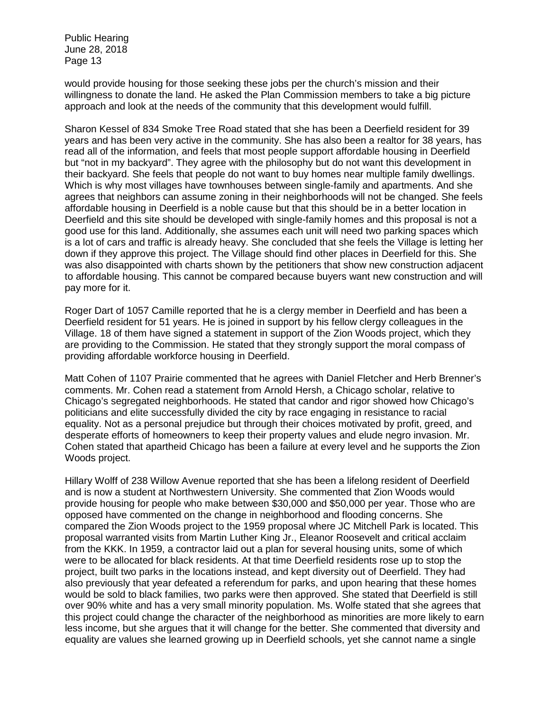would provide housing for those seeking these jobs per the church's mission and their willingness to donate the land. He asked the Plan Commission members to take a big picture approach and look at the needs of the community that this development would fulfill.

Sharon Kessel of 834 Smoke Tree Road stated that she has been a Deerfield resident for 39 years and has been very active in the community. She has also been a realtor for 38 years, has read all of the information, and feels that most people support affordable housing in Deerfield but "not in my backyard". They agree with the philosophy but do not want this development in their backyard. She feels that people do not want to buy homes near multiple family dwellings. Which is why most villages have townhouses between single-family and apartments. And she agrees that neighbors can assume zoning in their neighborhoods will not be changed. She feels affordable housing in Deerfield is a noble cause but that this should be in a better location in Deerfield and this site should be developed with single-family homes and this proposal is not a good use for this land. Additionally, she assumes each unit will need two parking spaces which is a lot of cars and traffic is already heavy. She concluded that she feels the Village is letting her down if they approve this project. The Village should find other places in Deerfield for this. She was also disappointed with charts shown by the petitioners that show new construction adjacent to affordable housing. This cannot be compared because buyers want new construction and will pay more for it.

Roger Dart of 1057 Camille reported that he is a clergy member in Deerfield and has been a Deerfield resident for 51 years. He is joined in support by his fellow clergy colleagues in the Village. 18 of them have signed a statement in support of the Zion Woods project, which they are providing to the Commission. He stated that they strongly support the moral compass of providing affordable workforce housing in Deerfield.

Matt Cohen of 1107 Prairie commented that he agrees with Daniel Fletcher and Herb Brenner's comments. Mr. Cohen read a statement from Arnold Hersh, a Chicago scholar, relative to Chicago's segregated neighborhoods. He stated that candor and rigor showed how Chicago's politicians and elite successfully divided the city by race engaging in resistance to racial equality. Not as a personal prejudice but through their choices motivated by profit, greed, and desperate efforts of homeowners to keep their property values and elude negro invasion. Mr. Cohen stated that apartheid Chicago has been a failure at every level and he supports the Zion Woods project.

Hillary Wolff of 238 Willow Avenue reported that she has been a lifelong resident of Deerfield and is now a student at Northwestern University. She commented that Zion Woods would provide housing for people who make between \$30,000 and \$50,000 per year. Those who are opposed have commented on the change in neighborhood and flooding concerns. She compared the Zion Woods project to the 1959 proposal where JC Mitchell Park is located. This proposal warranted visits from Martin Luther King Jr., Eleanor Roosevelt and critical acclaim from the KKK. In 1959, a contractor laid out a plan for several housing units, some of which were to be allocated for black residents. At that time Deerfield residents rose up to stop the project, built two parks in the locations instead, and kept diversity out of Deerfield. They had also previously that year defeated a referendum for parks, and upon hearing that these homes would be sold to black families, two parks were then approved. She stated that Deerfield is still over 90% white and has a very small minority population. Ms. Wolfe stated that she agrees that this project could change the character of the neighborhood as minorities are more likely to earn less income, but she argues that it will change for the better. She commented that diversity and equality are values she learned growing up in Deerfield schools, yet she cannot name a single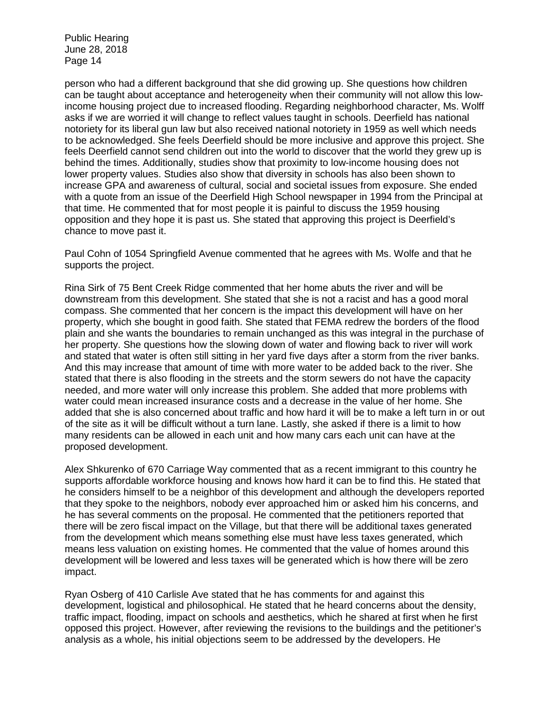person who had a different background that she did growing up. She questions how children can be taught about acceptance and heterogeneity when their community will not allow this lowincome housing project due to increased flooding. Regarding neighborhood character, Ms. Wolff asks if we are worried it will change to reflect values taught in schools. Deerfield has national notoriety for its liberal gun law but also received national notoriety in 1959 as well which needs to be acknowledged. She feels Deerfield should be more inclusive and approve this project. She feels Deerfield cannot send children out into the world to discover that the world they grew up is behind the times. Additionally, studies show that proximity to low-income housing does not lower property values. Studies also show that diversity in schools has also been shown to increase GPA and awareness of cultural, social and societal issues from exposure. She ended with a quote from an issue of the Deerfield High School newspaper in 1994 from the Principal at that time. He commented that for most people it is painful to discuss the 1959 housing opposition and they hope it is past us. She stated that approving this project is Deerfield's chance to move past it.

Paul Cohn of 1054 Springfield Avenue commented that he agrees with Ms. Wolfe and that he supports the project.

Rina Sirk of 75 Bent Creek Ridge commented that her home abuts the river and will be downstream from this development. She stated that she is not a racist and has a good moral compass. She commented that her concern is the impact this development will have on her property, which she bought in good faith. She stated that FEMA redrew the borders of the flood plain and she wants the boundaries to remain unchanged as this was integral in the purchase of her property. She questions how the slowing down of water and flowing back to river will work and stated that water is often still sitting in her yard five days after a storm from the river banks. And this may increase that amount of time with more water to be added back to the river. She stated that there is also flooding in the streets and the storm sewers do not have the capacity needed, and more water will only increase this problem. She added that more problems with water could mean increased insurance costs and a decrease in the value of her home. She added that she is also concerned about traffic and how hard it will be to make a left turn in or out of the site as it will be difficult without a turn lane. Lastly, she asked if there is a limit to how many residents can be allowed in each unit and how many cars each unit can have at the proposed development.

Alex Shkurenko of 670 Carriage Way commented that as a recent immigrant to this country he supports affordable workforce housing and knows how hard it can be to find this. He stated that he considers himself to be a neighbor of this development and although the developers reported that they spoke to the neighbors, nobody ever approached him or asked him his concerns, and he has several comments on the proposal. He commented that the petitioners reported that there will be zero fiscal impact on the Village, but that there will be additional taxes generated from the development which means something else must have less taxes generated, which means less valuation on existing homes. He commented that the value of homes around this development will be lowered and less taxes will be generated which is how there will be zero impact.

Ryan Osberg of 410 Carlisle Ave stated that he has comments for and against this development, logistical and philosophical. He stated that he heard concerns about the density, traffic impact, flooding, impact on schools and aesthetics, which he shared at first when he first opposed this project. However, after reviewing the revisions to the buildings and the petitioner's analysis as a whole, his initial objections seem to be addressed by the developers. He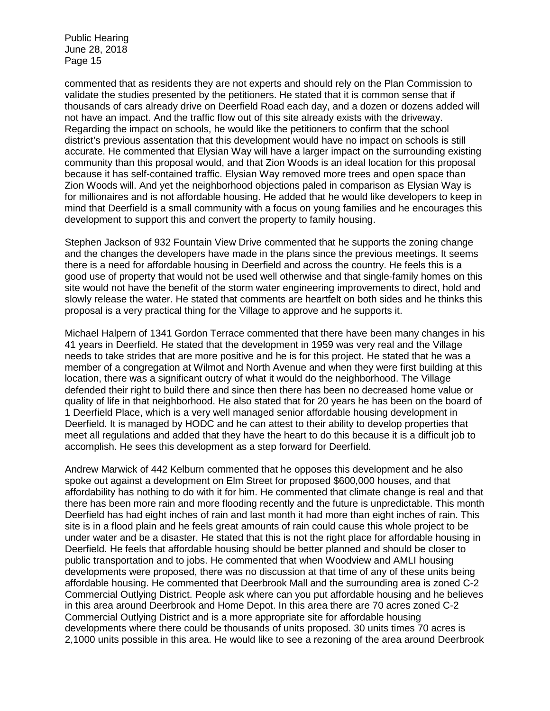commented that as residents they are not experts and should rely on the Plan Commission to validate the studies presented by the petitioners. He stated that it is common sense that if thousands of cars already drive on Deerfield Road each day, and a dozen or dozens added will not have an impact. And the traffic flow out of this site already exists with the driveway. Regarding the impact on schools, he would like the petitioners to confirm that the school district's previous assentation that this development would have no impact on schools is still accurate. He commented that Elysian Way will have a larger impact on the surrounding existing community than this proposal would, and that Zion Woods is an ideal location for this proposal because it has self-contained traffic. Elysian Way removed more trees and open space than Zion Woods will. And yet the neighborhood objections paled in comparison as Elysian Way is for millionaires and is not affordable housing. He added that he would like developers to keep in mind that Deerfield is a small community with a focus on young families and he encourages this development to support this and convert the property to family housing.

Stephen Jackson of 932 Fountain View Drive commented that he supports the zoning change and the changes the developers have made in the plans since the previous meetings. It seems there is a need for affordable housing in Deerfield and across the country. He feels this is a good use of property that would not be used well otherwise and that single-family homes on this site would not have the benefit of the storm water engineering improvements to direct, hold and slowly release the water. He stated that comments are heartfelt on both sides and he thinks this proposal is a very practical thing for the Village to approve and he supports it.

Michael Halpern of 1341 Gordon Terrace commented that there have been many changes in his 41 years in Deerfield. He stated that the development in 1959 was very real and the Village needs to take strides that are more positive and he is for this project. He stated that he was a member of a congregation at Wilmot and North Avenue and when they were first building at this location, there was a significant outcry of what it would do the neighborhood. The Village defended their right to build there and since then there has been no decreased home value or quality of life in that neighborhood. He also stated that for 20 years he has been on the board of 1 Deerfield Place, which is a very well managed senior affordable housing development in Deerfield. It is managed by HODC and he can attest to their ability to develop properties that meet all regulations and added that they have the heart to do this because it is a difficult job to accomplish. He sees this development as a step forward for Deerfield.

Andrew Marwick of 442 Kelburn commented that he opposes this development and he also spoke out against a development on Elm Street for proposed \$600,000 houses, and that affordability has nothing to do with it for him. He commented that climate change is real and that there has been more rain and more flooding recently and the future is unpredictable. This month Deerfield has had eight inches of rain and last month it had more than eight inches of rain. This site is in a flood plain and he feels great amounts of rain could cause this whole project to be under water and be a disaster. He stated that this is not the right place for affordable housing in Deerfield. He feels that affordable housing should be better planned and should be closer to public transportation and to jobs. He commented that when Woodview and AMLI housing developments were proposed, there was no discussion at that time of any of these units being affordable housing. He commented that Deerbrook Mall and the surrounding area is zoned C-2 Commercial Outlying District. People ask where can you put affordable housing and he believes in this area around Deerbrook and Home Depot. In this area there are 70 acres zoned C-2 Commercial Outlying District and is a more appropriate site for affordable housing developments where there could be thousands of units proposed. 30 units times 70 acres is 2,1000 units possible in this area. He would like to see a rezoning of the area around Deerbrook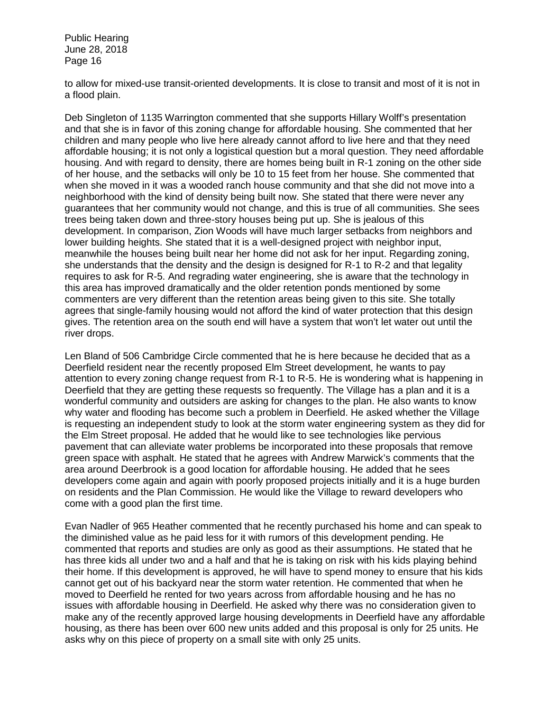to allow for mixed-use transit-oriented developments. It is close to transit and most of it is not in a flood plain.

Deb Singleton of 1135 Warrington commented that she supports Hillary Wolff's presentation and that she is in favor of this zoning change for affordable housing. She commented that her children and many people who live here already cannot afford to live here and that they need affordable housing; it is not only a logistical question but a moral question. They need affordable housing. And with regard to density, there are homes being built in R-1 zoning on the other side of her house, and the setbacks will only be 10 to 15 feet from her house. She commented that when she moved in it was a wooded ranch house community and that she did not move into a neighborhood with the kind of density being built now. She stated that there were never any guarantees that her community would not change, and this is true of all communities. She sees trees being taken down and three-story houses being put up. She is jealous of this development. In comparison, Zion Woods will have much larger setbacks from neighbors and lower building heights. She stated that it is a well-designed project with neighbor input, meanwhile the houses being built near her home did not ask for her input. Regarding zoning, she understands that the density and the design is designed for R-1 to R-2 and that legality requires to ask for R-5. And regrading water engineering, she is aware that the technology in this area has improved dramatically and the older retention ponds mentioned by some commenters are very different than the retention areas being given to this site. She totally agrees that single-family housing would not afford the kind of water protection that this design gives. The retention area on the south end will have a system that won't let water out until the river drops.

Len Bland of 506 Cambridge Circle commented that he is here because he decided that as a Deerfield resident near the recently proposed Elm Street development, he wants to pay attention to every zoning change request from R-1 to R-5. He is wondering what is happening in Deerfield that they are getting these requests so frequently. The Village has a plan and it is a wonderful community and outsiders are asking for changes to the plan. He also wants to know why water and flooding has become such a problem in Deerfield. He asked whether the Village is requesting an independent study to look at the storm water engineering system as they did for the Elm Street proposal. He added that he would like to see technologies like pervious pavement that can alleviate water problems be incorporated into these proposals that remove green space with asphalt. He stated that he agrees with Andrew Marwick's comments that the area around Deerbrook is a good location for affordable housing. He added that he sees developers come again and again with poorly proposed projects initially and it is a huge burden on residents and the Plan Commission. He would like the Village to reward developers who come with a good plan the first time.

Evan Nadler of 965 Heather commented that he recently purchased his home and can speak to the diminished value as he paid less for it with rumors of this development pending. He commented that reports and studies are only as good as their assumptions. He stated that he has three kids all under two and a half and that he is taking on risk with his kids playing behind their home. If this development is approved, he will have to spend money to ensure that his kids cannot get out of his backyard near the storm water retention. He commented that when he moved to Deerfield he rented for two years across from affordable housing and he has no issues with affordable housing in Deerfield. He asked why there was no consideration given to make any of the recently approved large housing developments in Deerfield have any affordable housing, as there has been over 600 new units added and this proposal is only for 25 units. He asks why on this piece of property on a small site with only 25 units.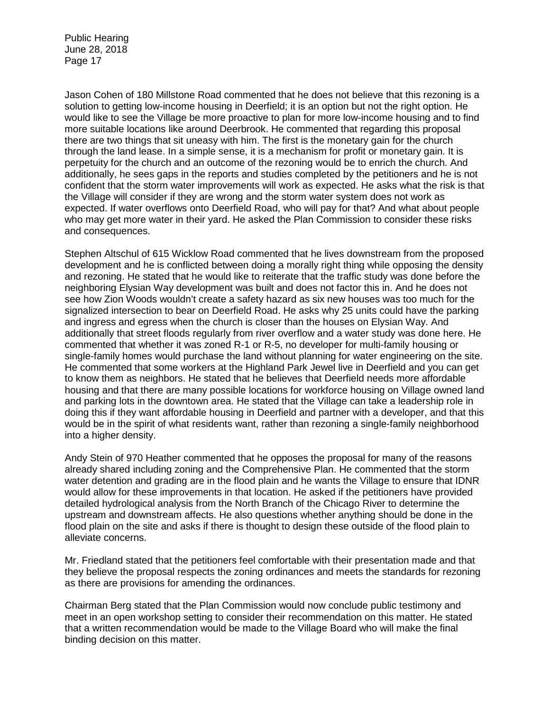Jason Cohen of 180 Millstone Road commented that he does not believe that this rezoning is a solution to getting low-income housing in Deerfield; it is an option but not the right option. He would like to see the Village be more proactive to plan for more low-income housing and to find more suitable locations like around Deerbrook. He commented that regarding this proposal there are two things that sit uneasy with him. The first is the monetary gain for the church through the land lease. In a simple sense, it is a mechanism for profit or monetary gain. It is perpetuity for the church and an outcome of the rezoning would be to enrich the church. And additionally, he sees gaps in the reports and studies completed by the petitioners and he is not confident that the storm water improvements will work as expected. He asks what the risk is that the Village will consider if they are wrong and the storm water system does not work as expected. If water overflows onto Deerfield Road, who will pay for that? And what about people who may get more water in their yard. He asked the Plan Commission to consider these risks and consequences.

Stephen Altschul of 615 Wicklow Road commented that he lives downstream from the proposed development and he is conflicted between doing a morally right thing while opposing the density and rezoning. He stated that he would like to reiterate that the traffic study was done before the neighboring Elysian Way development was built and does not factor this in. And he does not see how Zion Woods wouldn't create a safety hazard as six new houses was too much for the signalized intersection to bear on Deerfield Road. He asks why 25 units could have the parking and ingress and egress when the church is closer than the houses on Elysian Way. And additionally that street floods regularly from river overflow and a water study was done here. He commented that whether it was zoned R-1 or R-5, no developer for multi-family housing or single-family homes would purchase the land without planning for water engineering on the site. He commented that some workers at the Highland Park Jewel live in Deerfield and you can get to know them as neighbors. He stated that he believes that Deerfield needs more affordable housing and that there are many possible locations for workforce housing on Village owned land and parking lots in the downtown area. He stated that the Village can take a leadership role in doing this if they want affordable housing in Deerfield and partner with a developer, and that this would be in the spirit of what residents want, rather than rezoning a single-family neighborhood into a higher density.

Andy Stein of 970 Heather commented that he opposes the proposal for many of the reasons already shared including zoning and the Comprehensive Plan. He commented that the storm water detention and grading are in the flood plain and he wants the Village to ensure that IDNR would allow for these improvements in that location. He asked if the petitioners have provided detailed hydrological analysis from the North Branch of the Chicago River to determine the upstream and downstream affects. He also questions whether anything should be done in the flood plain on the site and asks if there is thought to design these outside of the flood plain to alleviate concerns.

Mr. Friedland stated that the petitioners feel comfortable with their presentation made and that they believe the proposal respects the zoning ordinances and meets the standards for rezoning as there are provisions for amending the ordinances.

Chairman Berg stated that the Plan Commission would now conclude public testimony and meet in an open workshop setting to consider their recommendation on this matter. He stated that a written recommendation would be made to the Village Board who will make the final binding decision on this matter.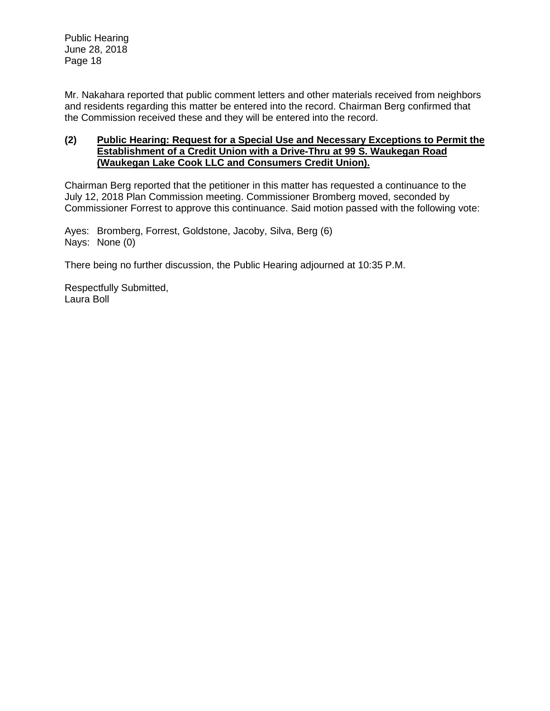Mr. Nakahara reported that public comment letters and other materials received from neighbors and residents regarding this matter be entered into the record. Chairman Berg confirmed that the Commission received these and they will be entered into the record.

# **(2) Public Hearing: Request for a Special Use and Necessary Exceptions to Permit the Establishment of a Credit Union with a Drive-Thru at 99 S. Waukegan Road (Waukegan Lake Cook LLC and Consumers Credit Union).**

Chairman Berg reported that the petitioner in this matter has requested a continuance to the July 12, 2018 Plan Commission meeting. Commissioner Bromberg moved, seconded by Commissioner Forrest to approve this continuance. Said motion passed with the following vote:

Ayes: Bromberg, Forrest, Goldstone, Jacoby, Silva, Berg (6) Nays: None (0)

There being no further discussion, the Public Hearing adjourned at 10:35 P.M.

Respectfully Submitted, Laura Boll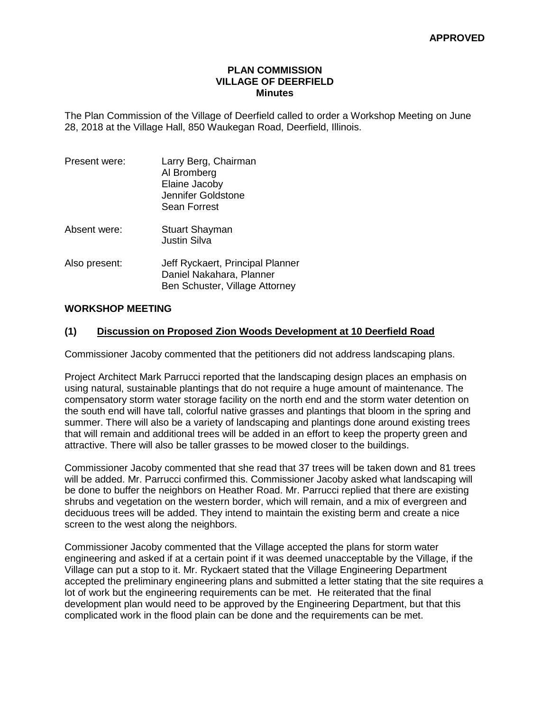### **PLAN COMMISSION VILLAGE OF DEERFIELD Minutes**

The Plan Commission of the Village of Deerfield called to order a Workshop Meeting on June 28, 2018 at the Village Hall, 850 Waukegan Road, Deerfield, Illinois.

| Present were: | Larry Berg, Chairman<br>Al Bromberg<br>Elaine Jacoby<br>Jennifer Goldstone<br>Sean Forrest     |
|---------------|------------------------------------------------------------------------------------------------|
| Absent were:  | <b>Stuart Shayman</b><br><b>Justin Silva</b>                                                   |
| Also present: | Jeff Ryckaert, Principal Planner<br>Daniel Nakahara, Planner<br>Ben Schuster, Village Attorney |

### **WORKSHOP MEETING**

### **(1) Discussion on Proposed Zion Woods Development at 10 Deerfield Road**

Commissioner Jacoby commented that the petitioners did not address landscaping plans.

Project Architect Mark Parrucci reported that the landscaping design places an emphasis on using natural, sustainable plantings that do not require a huge amount of maintenance. The compensatory storm water storage facility on the north end and the storm water detention on the south end will have tall, colorful native grasses and plantings that bloom in the spring and summer. There will also be a variety of landscaping and plantings done around existing trees that will remain and additional trees will be added in an effort to keep the property green and attractive. There will also be taller grasses to be mowed closer to the buildings.

Commissioner Jacoby commented that she read that 37 trees will be taken down and 81 trees will be added. Mr. Parrucci confirmed this. Commissioner Jacoby asked what landscaping will be done to buffer the neighbors on Heather Road. Mr. Parrucci replied that there are existing shrubs and vegetation on the western border, which will remain, and a mix of evergreen and deciduous trees will be added. They intend to maintain the existing berm and create a nice screen to the west along the neighbors.

Commissioner Jacoby commented that the Village accepted the plans for storm water engineering and asked if at a certain point if it was deemed unacceptable by the Village, if the Village can put a stop to it. Mr. Ryckaert stated that the Village Engineering Department accepted the preliminary engineering plans and submitted a letter stating that the site requires a lot of work but the engineering requirements can be met. He reiterated that the final development plan would need to be approved by the Engineering Department, but that this complicated work in the flood plain can be done and the requirements can be met.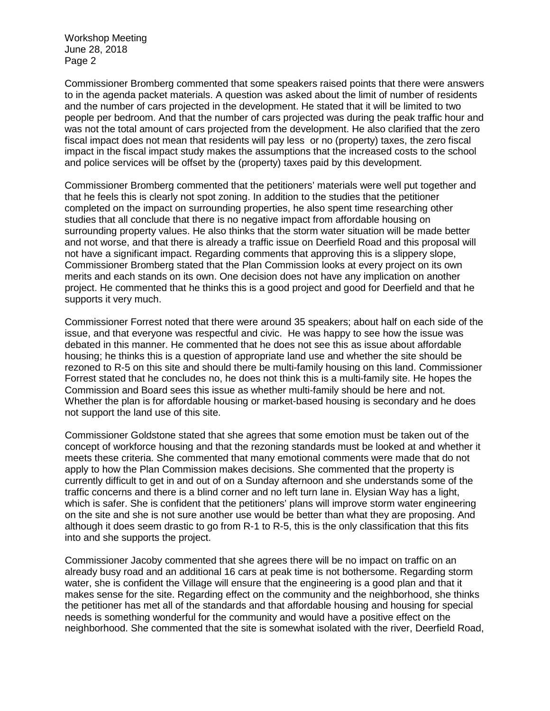Workshop Meeting June 28, 2018 Page 2

Commissioner Bromberg commented that some speakers raised points that there were answers to in the agenda packet materials. A question was asked about the limit of number of residents and the number of cars projected in the development. He stated that it will be limited to two people per bedroom. And that the number of cars projected was during the peak traffic hour and was not the total amount of cars projected from the development. He also clarified that the zero fiscal impact does not mean that residents will pay less or no (property) taxes, the zero fiscal impact in the fiscal impact study makes the assumptions that the increased costs to the school and police services will be offset by the (property) taxes paid by this development.

Commissioner Bromberg commented that the petitioners' materials were well put together and that he feels this is clearly not spot zoning. In addition to the studies that the petitioner completed on the impact on surrounding properties, he also spent time researching other studies that all conclude that there is no negative impact from affordable housing on surrounding property values. He also thinks that the storm water situation will be made better and not worse, and that there is already a traffic issue on Deerfield Road and this proposal will not have a significant impact. Regarding comments that approving this is a slippery slope, Commissioner Bromberg stated that the Plan Commission looks at every project on its own merits and each stands on its own. One decision does not have any implication on another project. He commented that he thinks this is a good project and good for Deerfield and that he supports it very much.

Commissioner Forrest noted that there were around 35 speakers; about half on each side of the issue, and that everyone was respectful and civic. He was happy to see how the issue was debated in this manner. He commented that he does not see this as issue about affordable housing; he thinks this is a question of appropriate land use and whether the site should be rezoned to R-5 on this site and should there be multi-family housing on this land. Commissioner Forrest stated that he concludes no, he does not think this is a multi-family site. He hopes the Commission and Board sees this issue as whether multi-family should be here and not. Whether the plan is for affordable housing or market-based housing is secondary and he does not support the land use of this site.

Commissioner Goldstone stated that she agrees that some emotion must be taken out of the concept of workforce housing and that the rezoning standards must be looked at and whether it meets these criteria. She commented that many emotional comments were made that do not apply to how the Plan Commission makes decisions. She commented that the property is currently difficult to get in and out of on a Sunday afternoon and she understands some of the traffic concerns and there is a blind corner and no left turn lane in. Elysian Way has a light, which is safer. She is confident that the petitioners' plans will improve storm water engineering on the site and she is not sure another use would be better than what they are proposing. And although it does seem drastic to go from R-1 to R-5, this is the only classification that this fits into and she supports the project.

Commissioner Jacoby commented that she agrees there will be no impact on traffic on an already busy road and an additional 16 cars at peak time is not bothersome. Regarding storm water, she is confident the Village will ensure that the engineering is a good plan and that it makes sense for the site. Regarding effect on the community and the neighborhood, she thinks the petitioner has met all of the standards and that affordable housing and housing for special needs is something wonderful for the community and would have a positive effect on the neighborhood. She commented that the site is somewhat isolated with the river, Deerfield Road,